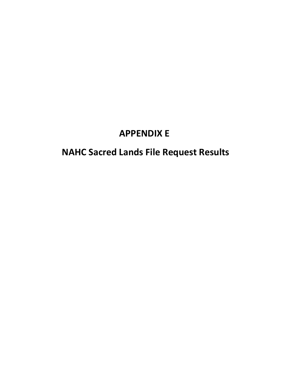## **APPENDIX E**

# **NAHC Sacred Lands File Request Results**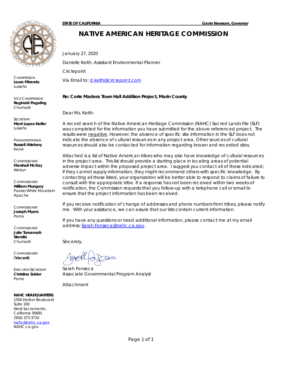

**CHAIRPERSON Laura Miranda**  *Luiseño*

VICE CHAIRPERSON **Reginald Pagaling** *Chumash*

**SECRETARY Merri Lopez-Keifer** *Luiseño*

PARLIAMENTARIAN **Russell Attebery** *Karuk* 

**COMMISSIONER Marshall McKay** *Wintun*

**COMMISSIONER William Mungary** *Paiute/White Mountain Apache*

**COMMISSIONER Joseph Myers** *Pomo*

**COMMISSIONER Julie Tumamait-Stenslie** *Chumash*

**COMMISSIONER** [**Vacant**]

EXECUTIVE SECRETARY **Christina Snider** *Pomo*

#### **NAHC HEADQUARTERS**

1550 Harbor Boulevard Suite 100 West Sacramento, California 95691 (916) 373-3710 nahc@nahc.ca.gov NAHC.ca.gov

### **NATIVE AMERICAN HERITAGE COMMISSION**

January 27, 2020

Danielle Keith, Assistant Environmental Planner

**Circlepoint** 

Via Email to: d.keith@circlepoint.com

### **Re: Corte Madera Town Hall Addition Project, Marin County**

Dear Ms. Keith:

A record search of the Native American Heritage Commission (NAHC) Sacred Lands File (SLF) was completed for the information you have submitted for the above referenced project. The results were negative. However, the absence of specific site information in the SLF does not indicate the absence of cultural resources in any project area. Other sources of cultural resources should also be contacted for information regarding known and recorded sites.

Attached is a list of Native American tribes who may also have knowledge of cultural resources in the project area. This list should provide a starting place in locating areas of potential adverse impact within the proposed project area. I suggest you contact all of those indicated; if they cannot supply information, they might recommend others with specific knowledge. By contacting all those listed, your organization will be better able to respond to claims of failure to consult with the appropriate tribe. If a response has not been received within two weeks of notification, the Commission requests that you follow-up with a telephone call or email to ensure that the project information has been received.

If you receive notification of change of addresses and phone numbers from tribes, please notify me. With your assistance, we can assure that our lists contain current information.

If you have any questions or need additional information, please contact me at my email address: Sarah.Fonseca@nahc.ca.gov.

Sincerely,

Sarah Fonseca *Associate Governmental Program Analyst*

Attachment